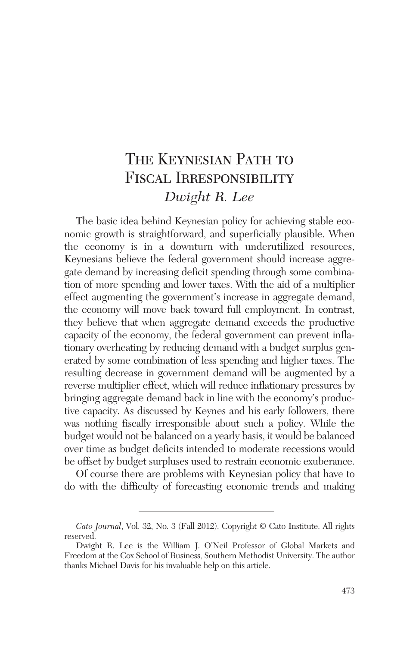# THE KEYNESIAN PATH TO Fiscal Irresponsibility *Dwight R. Lee*

The basic idea behind Keynesian policy for achieving stable economic growth is straightforward, and superficially plausible. When the economy is in a downturn with underutilized resources, Keynesians believe the federal government should increase aggregate demand by increasing deficit spending through some combination of more spending and lower taxes. With the aid of a multiplier effect augmenting the government's increase in aggregate demand, the economy will move back toward full employment. In contrast, they believe that when aggregate demand exceeds the productive capacity of the economy, the federal government can prevent inflationary overheating by reducing demand with a budget surplus generated by some combination of less spending and higher taxes. The resulting decrease in government demand will be augmented by a reverse multiplier effect, which will reduce inflationary pressures by bringing aggregate demand back in line with the economy's productive capacity. As discussed by Keynes and his early followers, there was nothing fiscally irresponsible about such a policy. While the budget would not be balanced on a yearly basis, it would be balanced over time as budget deficits intended to moderate recessions would be offset by budget surpluses used to restrain economic exuberance.

Of course there are problems with Keynesian policy that have to do with the difficulty of forecasting economic trends and making

*Cato Journal*, Vol. 32, No. 3 (Fall 2012). Copyright © Cato Institute. All rights reserved.

Dwight R. Lee is the William J. O'Neil Professor of Global Markets and Freedom at the Cox School of Business, Southern Methodist University. The author thanks Michael Davis for his invaluable help on this article.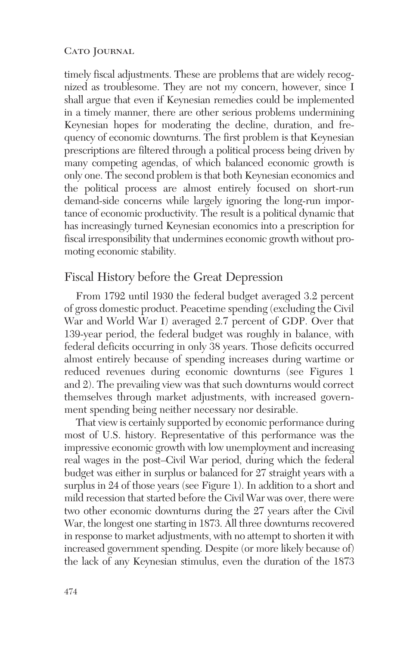timely fiscal adjustments. These are problems that are widely recognized as troublesome. They are not my concern, however, since I shall argue that even if Keynesian remedies could be implemented in a timely manner, there are other serious problems undermining Keynesian hopes for moderating the decline, duration, and frequency of economic downturns. The first problem is that Keynesian prescriptions are filtered through a political process being driven by many competing agendas, of which balanced economic growth is only one. The second problem is that both Keynesian economics and the political process are almost entirely focused on short-run demand-side concerns while largely ignoring the long-run importance of economic productivity. The result is a political dynamic that has increasingly turned Keynesian economics into a prescription for fiscal irresponsibility that undermines economic growth without promoting economic stability.

# Fiscal History before the Great Depression

From 1792 until 1930 the federal budget averaged 3.2 percent of gross domestic product. Peacetime spending (excluding the Civil War and World War I) averaged 2.7 percent of GDP. Over that 139-year period, the federal budget was roughly in balance, with federal deficits occurring in only 38 years. Those deficits occurred almost entirely because of spending increases during wartime or reduced revenues during economic downturns (see Figures 1 and 2). The prevailing view was that such downturns would correct themselves through market adjustments, with increased government spending being neither necessary nor desirable.

That view is certainly supported by economic performance during most of U.S. history. Representative of this performance was the impressive economic growth with low unemployment and increasing real wages in the post–Civil War period, during which the federal budget was either in surplus or balanced for 27 straight years with a surplus in 24 of those years (see Figure 1). In addition to a short and mild recession that started before the Civil War was over, there were two other economic downturns during the 27 years after the Civil War, the longest one starting in 1873. All three downturns recovered in response to market adjustments, with no attempt to shorten it with increased government spending. Despite (or more likely because of) the lack of any Keynesian stimulus, even the duration of the 1873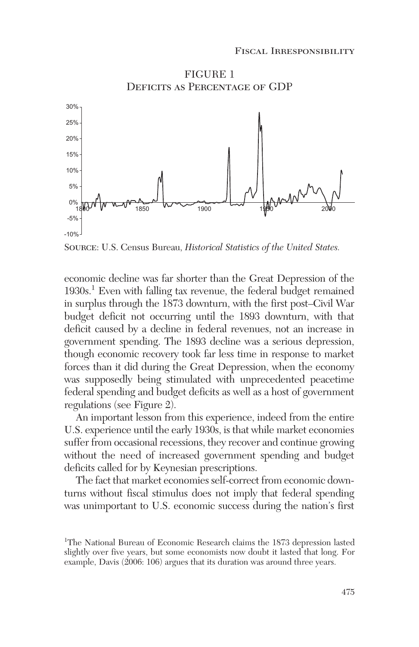

FIGURE 1 Deficits as Percentage of GDP

Source: U.S. Census Bureau, *Historical Statistics of the United States.*

economic decline was far shorter than the Great Depression of the  $1930s<sup>1</sup>$  Even with falling tax revenue, the federal budget remained in surplus through the 1873 downturn, with the first post–Civil War budget deficit not occurring until the 1893 downturn, with that deficit caused by a decline in federal revenues, not an increase in government spending. The 1893 decline was a serious depression, though economic recovery took far less time in response to market forces than it did during the Great Depression, when the economy was supposedly being stimulated with unprecedented peacetime federal spending and budget deficits as well as a host of government regulations (see Figure 2).

An important lesson from this experience, indeed from the entire U.S. experience until the early 1930s, is that while market economies suffer from occasional recessions, they recover and continue growing without the need of increased government spending and budget deficits called for by Keynesian prescriptions.

The fact that market economies self-correct from economic downturns without fiscal stimulus does not imply that federal spending was unimportant to U.S. economic success during the nation's first

<sup>&</sup>lt;sup>1</sup>The National Bureau of Economic Research claims the 1873 depression lasted slightly over five years, but some economists now doubt it lasted that long. For example, Davis (2006: 106) argues that its duration was around three years.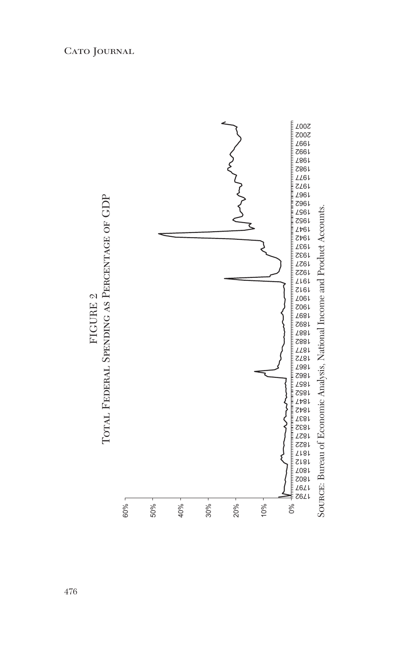

0%

Source: Bureau of Economic Analysis, National Income and Product Accounts.

SOURCE: Bureau of Economic Analysis, National Income and Product Accounts.

10%

CATO JOURNAL

60%

50%

40%

30%

20%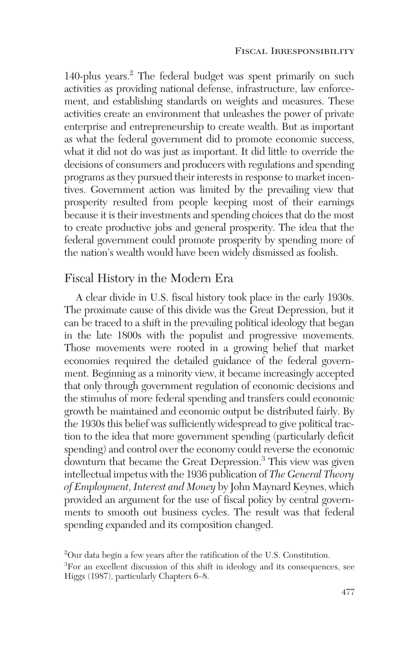140-plus years.<sup>2</sup> The federal budget was spent primarily on such activities as providing national defense, infrastructure, law enforcement, and establishing standards on weights and measures. These activities create an environment that unleashes the power of private enterprise and entrepreneurship to create wealth. But as important as what the federal government did to promote economic success, what it did not do was just as important. It did little to override the decisions of consumers and producers with regulations and spending programs as they pursued their interests in response to market incentives. Government action was limited by the prevailing view that prosperity resulted from people keeping most of their earnings because it is their investments and spending choices that do the most to create productive jobs and general prosperity. The idea that the federal government could promote prosperity by spending more of the nation's wealth would have been widely dismissed as foolish.

# Fiscal History in the Modern Era

A clear divide in U.S. fiscal history took place in the early 1930s. The proximate cause of this divide was the Great Depression, but it can be traced to a shift in the prevailing political ideology that began in the late 1800s with the populist and progressive movements. Those movements were rooted in a growing belief that market economies required the detailed guidance of the federal government. Beginning as a minority view, it became increasingly accepted that only through government regulation of economic decisions and the stimulus of more federal spending and transfers could economic growth be maintained and economic output be distributed fairly. By the 1930s this belief was sufficiently widespread to give political traction to the idea that more government spending (particularly deficit spending) and control over the economy could reverse the economic downturn that became the Great Depression.<sup>3</sup> This view was given intellectual impetus with the 1936 publication of *The General Theory of Employment, Interest and Money* by John Maynard Keynes, which provided an argument for the use of fiscal policy by central governments to smooth out business cycles. The result was that federal spending expanded and its composition changed.

<sup>2</sup> Our data begin a few years after the ratification of the U.S. Constitution. 3 For an excellent discussion of this shift in ideology and its consequences, see Higgs (1987), particularly Chapters 6–8.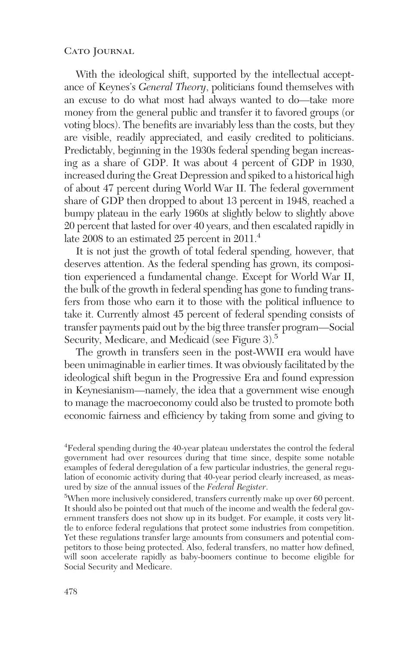With the ideological shift, supported by the intellectual acceptance of Keynes's *General Theory*, politicians found themselves with an excuse to do what most had always wanted to do—take more money from the general public and transfer it to favored groups (or voting blocs). The benefits are invariably less than the costs, but they are visible, readily appreciated, and easily credited to politicians. Predictably, beginning in the 1930s federal spending began increasing as a share of GDP. It was about 4 percent of GDP in 1930, increased during the Great Depression and spiked to a historical high of about 47 percent during World War II. The federal government share of GDP then dropped to about 13 percent in 1948, reached a bumpy plateau in the early 1960s at slightly below to slightly above 20 percent that lasted for over 40 years, and then escalated rapidly in late 2008 to an estimated 25 percent in 2011.<sup>4</sup>

It is not just the growth of total federal spending, however, that deserves attention. As the federal spending has grown, its composition experienced a fundamental change. Except for World War II, the bulk of the growth in federal spending has gone to funding transfers from those who earn it to those with the political influence to take it. Currently almost 45 percent of federal spending consists of transfer payments paid out by the big three transfer program—Social Security, Medicare, and Medicaid (see Figure 3).<sup>5</sup>

The growth in transfers seen in the post-WWII era would have been unimaginable in earlier times. It was obviously facilitated by the ideological shift begun in the Progressive Era and found expression in Keynesianism—namely, the idea that a government wise enough to manage the macroeconomy could also be trusted to promote both economic fairness and efficiency by taking from some and giving to

4 Federal spending during the 40-year plateau understates the control the federal government had over resources during that time since, despite some notable examples of federal deregulation of a few particular industries, the general regulation of economic activity during that 40-year period clearly increased, as measured by size of the annual issues of the *Federal Register*.

5 When more inclusively considered, transfers currently make up over 60 percent. It should also be pointed out that much of the income and wealth the federal government transfers does not show up in its budget. For example, it costs very little to enforce federal regulations that protect some industries from competition. Yet these regulations transfer large amounts from consumers and potential competitors to those being protected. Also, federal transfers, no matter how defined, will soon accelerate rapidly as baby-boomers continue to become eligible for Social Security and Medicare.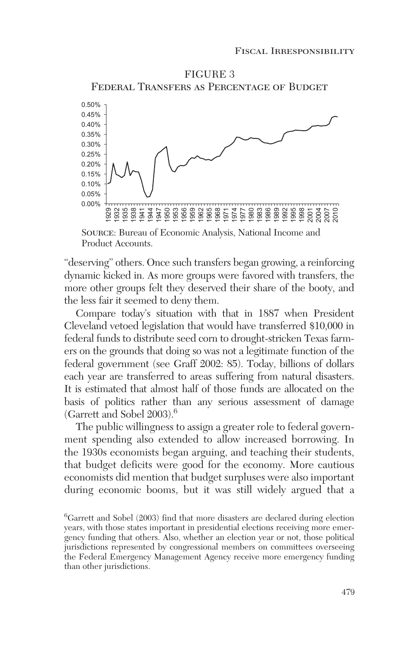

FIGURE 3

"deserving" others. Once such transfers began growing, a reinforcing dynamic kicked in. As more groups were favored with transfers, the more other groups felt they deserved their share of the booty, and the less fair it seemed to deny them.

Compare today's situation with that in 1887 when President Cleveland vetoed legislation that would have transferred \$10,000 in federal funds to distribute seed corn to drought-stricken Texas farmers on the grounds that doing so was not a legitimate function of the federal government (see Graff 2002: 85). Today, billions of dollars each year are transferred to areas suffering from natural disasters. It is estimated that almost half of those funds are allocated on the basis of politics rather than any serious assessment of damage (Garrett and Sobel 2003).6

The public willingness to assign a greater role to federal government spending also extended to allow increased borrowing. In the 1930s economists began arguing, and teaching their students, that budget deficits were good for the economy. More cautious economists did mention that budget surpluses were also important during economic booms, but it was still widely argued that a

Source: Bureau of Economic Analysis, National Income and Product Accounts.

<sup>6</sup> Garrett and Sobel (2003) find that more disasters are declared during election years, with those states important in presidential elections receiving more emergency funding that others. Also, whether an election year or not, those political jurisdictions represented by congressional members on committees overseeing the Federal Emergency Management Agency receive more emergency funding than other jurisdictions.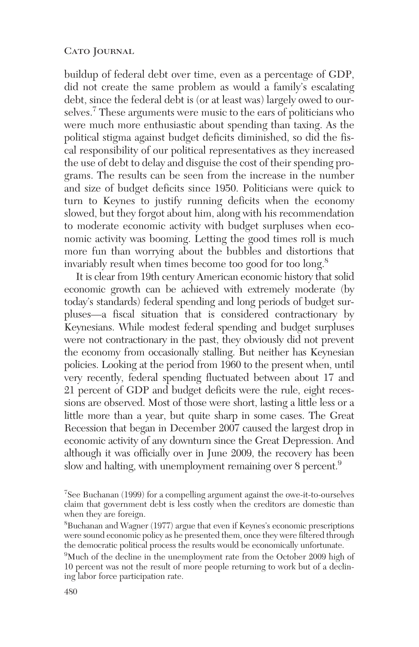buildup of federal debt over time, even as a percentage of GDP, did not create the same problem as would a family's escalating debt, since the federal debt is (or at least was) largely owed to ourselves.<sup>7</sup> These arguments were music to the ears of politicians who were much more enthusiastic about spending than taxing. As the political stigma against budget deficits diminished, so did the fiscal responsibility of our political representatives as they increased the use of debt to delay and disguise the cost of their spending programs. The results can be seen from the increase in the number and size of budget deficits since 1950. Politicians were quick to turn to Keynes to justify running deficits when the economy slowed, but they forgot about him, along with his recommendation to moderate economic activity with budget surpluses when economic activity was booming. Letting the good times roll is much more fun than worrying about the bubbles and distortions that invariably result when times become too good for too long.8

It is clear from 19th century American economic history that solid economic growth can be achieved with extremely moderate (by today's standards) federal spending and long periods of budget surpluses—a fiscal situation that is considered contractionary by Keynesians. While modest federal spending and budget surpluses were not contractionary in the past, they obviously did not prevent the economy from occasionally stalling. But neither has Keynesian policies. Looking at the period from 1960 to the present when, until very recently, federal spending fluctuated between about 17 and 21 percent of GDP and budget deficits were the rule, eight recessions are observed. Most of those were short, lasting a little less or a little more than a year, but quite sharp in some cases. The Great Recession that began in December 2007 caused the largest drop in economic activity of any downturn since the Great Depression. And although it was officially over in June 2009, the recovery has been slow and halting, with unemployment remaining over 8 percent.<sup>9</sup>

<sup>&</sup>lt;sup>7</sup>See Buchanan (1999) for a compelling argument against the owe-it-to-ourselves claim that government debt is less costly when the creditors are domestic than when they are foreign.

<sup>8</sup> Buchanan and Wagner (1977) argue that even if Keynes's economic prescriptions were sound economic policy as he presented them, once they were filtered through the democratic political process the results would be economically unfortunate.

<sup>9</sup> Much of the decline in the unemployment rate from the October 2009 high of 10 percent was not the result of more people returning to work but of a declining labor force participation rate.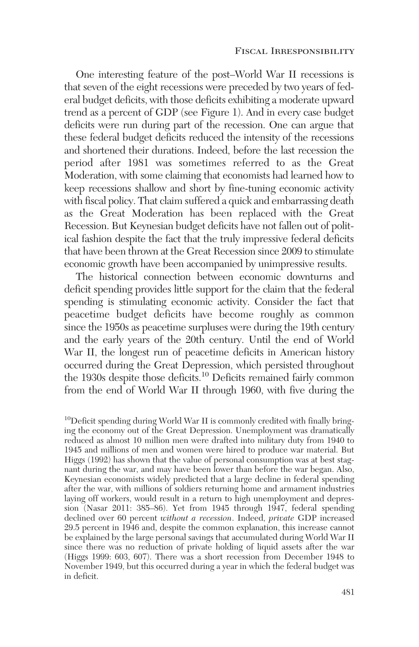One interesting feature of the post–World War II recessions is that seven of the eight recessions were preceded by two years of federal budget deficits, with those deficits exhibiting a moderate upward trend as a percent of GDP (see Figure 1). And in every case budget deficits were run during part of the recession. One can argue that these federal budget deficits reduced the intensity of the recessions and shortened their durations. Indeed, before the last recession the period after 1981 was sometimes referred to as the Great Moderation, with some claiming that economists had learned how to keep recessions shallow and short by fine-tuning economic activity with fiscal policy. That claim suffered a quick and embarrassing death as the Great Moderation has been replaced with the Great Recession. But Keynesian budget deficits have not fallen out of political fashion despite the fact that the truly impressive federal deficits that have been thrown at the Great Recession since 2009 to stimulate economic growth have been accompanied by unimpressive results.

The historical connection between economic downturns and deficit spending provides little support for the claim that the federal spending is stimulating economic activity. Consider the fact that peacetime budget deficits have become roughly as common since the 1950s as peacetime surpluses were during the 19th century and the early years of the 20th century. Until the end of World War II, the longest run of peacetime deficits in American history occurred during the Great Depression, which persisted throughout the 1930s despite those deficits.<sup>10</sup> Deficits remained fairly common from the end of World War II through 1960, with five during the

 $10D$ eficit spending during World War II is commonly credited with finally bringing the economy out of the Great Depression. Unemployment was dramatically reduced as almost 10 million men were drafted into military duty from 1940 to 1945 and millions of men and women were hired to produce war material. But Higgs (1992) has shown that the value of personal consumption was at best stagnant during the war, and may have been lower than before the war began. Also, Keynesian economists widely predicted that a large decline in federal spending after the war, with millions of soldiers returning home and armament industries laying off workers, would result in a return to high unemployment and depression (Nasar 2011: 385–86). Yet from 1945 through 1947, federal spending declined over 60 percent *without a recession*. Indeed, *private* GDP increased 29.5 percent in 1946 and, despite the common explanation, this increase cannot be explained by the large personal savings that accumulated during World War II since there was no reduction of private holding of liquid assets after the war (Higgs 1999: 603, 607). There was a short recession from December 1948 to November 1949, but this occurred during a year in which the federal budget was in deficit.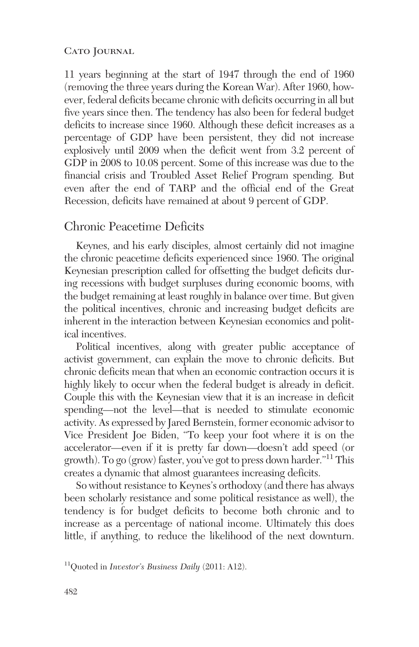11 years beginning at the start of 1947 through the end of 1960 (removing the three years during the Korean War). After 1960, however, federal deficits became chronic with deficits occurring in all but five years since then. The tendency has also been for federal budget deficits to increase since 1960. Although these deficit increases as a percentage of GDP have been persistent, they did not increase explosively until 2009 when the deficit went from 3.2 percent of GDP in 2008 to 10.08 percent. Some of this increase was due to the financial crisis and Troubled Asset Relief Program spending. But even after the end of TARP and the official end of the Great Recession, deficits have remained at about 9 percent of GDP.

### Chronic Peacetime Deficits

Keynes, and his early disciples, almost certainly did not imagine the chronic peacetime deficits experienced since 1960. The original Keynesian prescription called for offsetting the budget deficits during recessions with budget surpluses during economic booms, with the budget remaining at least roughly in balance over time. But given the political incentives, chronic and increasing budget deficits are inherent in the interaction between Keynesian economics and political incentives.

Political incentives, along with greater public acceptance of activist government, can explain the move to chronic deficits. But chronic deficits mean that when an economic contraction occurs it is highly likely to occur when the federal budget is already in deficit. Couple this with the Keynesian view that it is an increase in deficit spending—not the level—that is needed to stimulate economic activity. As expressed by Jared Bernstein, former economic advisor to Vice President Joe Biden, "To keep your foot where it is on the accelerator—even if it is pretty far down—doesn't add speed (or growth). To go (grow) faster, you've got to press down harder."11 This creates a dynamic that almost guarantees increasing deficits.

So without resistance to Keynes's orthodoxy (and there has always been scholarly resistance and some political resistance as well), the tendency is for budget deficits to become both chronic and to increase as a percentage of national income. Ultimately this does little, if anything, to reduce the likelihood of the next downturn.

<sup>11</sup>Quoted in *Investor's Business Daily* (2011: A12).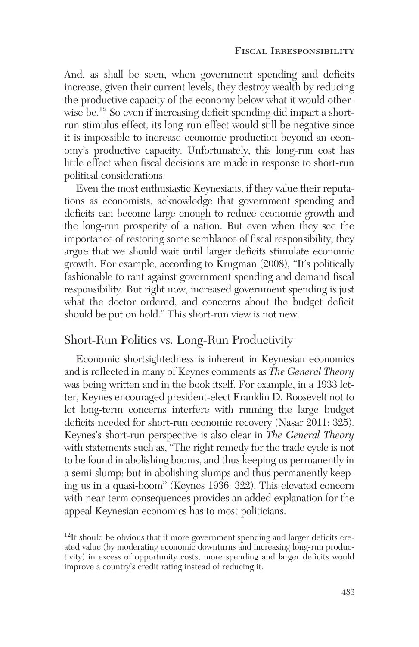And, as shall be seen, when government spending and deficits increase, given their current levels, they destroy wealth by reducing the productive capacity of the economy below what it would otherwise be.12 So even if increasing deficit spending did impart a shortrun stimulus effect, its long-run effect would still be negative since it is impossible to increase economic production beyond an economy's productive capacity. Unfortunately, this long-run cost has little effect when fiscal decisions are made in response to short-run political considerations.

Even the most enthusiastic Keynesians, if they value their reputations as economists, acknowledge that government spending and deficits can become large enough to reduce economic growth and the long-run prosperity of a nation. But even when they see the importance of restoring some semblance of fiscal responsibility, they argue that we should wait until larger deficits stimulate economic growth. For example, according to Krugman (2008), "It's politically fashionable to rant against government spending and demand fiscal responsibility. But right now, increased government spending is just what the doctor ordered, and concerns about the budget deficit should be put on hold." This short-run view is not new.

### Short-Run Politics vs. Long-Run Productivity

Economic shortsightedness is inherent in Keynesian economics and is reflected in many of Keynes comments as *The General Theory* was being written and in the book itself. For example, in a 1933 letter, Keynes encouraged president-elect Franklin D. Roosevelt not to let long-term concerns interfere with running the large budget deficits needed for short-run economic recovery (Nasar 2011: 325). Keynes's short-run perspective is also clear in *The General Theory* with statements such as, "The right remedy for the trade cycle is not to be found in abolishing booms, and thus keeping us permanently in a semi-slump; but in abolishing slumps and thus permanently keeping us in a quasi-boom" (Keynes 1936: 322). This elevated concern with near-term consequences provides an added explanation for the appeal Keynesian economics has to most politicians.

 $12$ It should be obvious that if more government spending and larger deficits created value (by moderating economic downturns and increasing long-run productivity) in excess of opportunity costs, more spending and larger deficits would improve a country's credit rating instead of reducing it.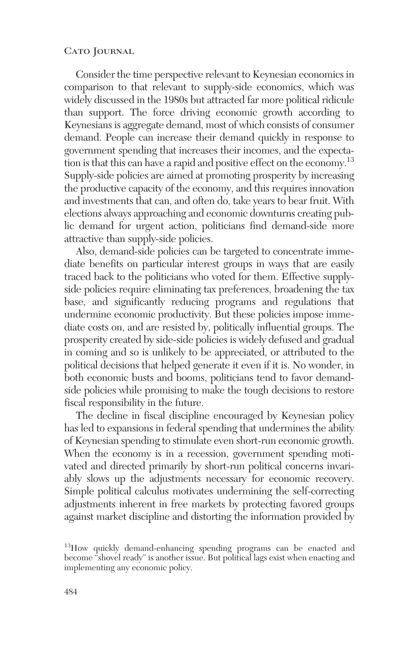Consider the time perspective relevant to Keynesian economics in comparison to that relevant to supply-side economics, which was widely discussed in the 1980s but attracted far more political ridicule than support. The force driving economic growth according to Keynesians is aggregate demand, most of which consists of consumer demand. People can increase their demand quickly in response to government spending that increases their incomes, and the expectation is that this can have a rapid and positive effect on the economy.<sup>13</sup> Supply-side policies are aimed at promoting prosperity by increasing the productive capacity of the economy, and this requires innovation and investments that can, and often do, take years to bear fruit. With elections always approaching and economic downturns creating public demand for urgent action, politicians find demand-side more attractive than supply-side policies.

Also, demand-side policies can be targeted to concentrate immediate benefits on particular interest groups in ways that are easily traced back to the politicians who voted for them. Effective supplyside policies require eliminating tax preferences, broadening the tax base, and significantly reducing programs and regulations that undermine economic productivity. But these policies impose immediate costs on, and are resisted by, politically influential groups. The prosperity created by side-side policies is widely defused and gradual in coming and so is unlikely to be appreciated, or attributed to the political decisions that helped generate it even if it is. No wonder, in both economic busts and booms, politicians tend to favor demandside policies while promising to make the tough decisions to restore fiscal responsibility in the future.

The decline in fiscal discipline encouraged by Keynesian policy has led to expansions in federal spending that undermines the ability of Keynesian spending to stimulate even short-run economic growth. When the economy is in a recession, government spending motivated and directed primarily by short-run political concerns invariably slows up the adjustments necessary for economic recovery. Simple political calculus motivates undermining the self-correcting adjustments inherent in free markets by protecting favored groups against market discipline and distorting the information provided by

<sup>13</sup>How quickly demand-enhancing spending programs can be enacted and become "shovel ready" is another issue. But political lags exist when enacting and implementing any economic policy.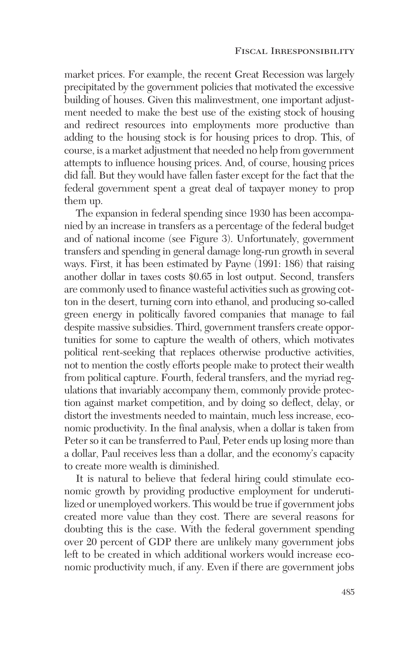market prices. For example, the recent Great Recession was largely precipitated by the government policies that motivated the excessive building of houses. Given this malinvestment, one important adjustment needed to make the best use of the existing stock of housing and redirect resources into employments more productive than adding to the housing stock is for housing prices to drop. This, of course, is a market adjustment that needed no help from government attempts to influence housing prices. And, of course, housing prices did fall. But they would have fallen faster except for the fact that the federal government spent a great deal of taxpayer money to prop them up.

The expansion in federal spending since 1930 has been accompanied by an increase in transfers as a percentage of the federal budget and of national income (see Figure 3). Unfortunately, government transfers and spending in general damage long-run growth in several ways. First, it has been estimated by Payne (1991: 186) that raising another dollar in taxes costs \$0.65 in lost output. Second, transfers are commonly used to finance wasteful activities such as growing cotton in the desert, turning corn into ethanol, and producing so-called green energy in politically favored companies that manage to fail despite massive subsidies. Third, government transfers create opportunities for some to capture the wealth of others, which motivates political rent-seeking that replaces otherwise productive activities, not to mention the costly efforts people make to protect their wealth from political capture. Fourth, federal transfers, and the myriad regulations that invariably accompany them, commonly provide protection against market competition, and by doing so deflect, delay, or distort the investments needed to maintain, much less increase, economic productivity. In the final analysis, when a dollar is taken from Peter so it can be transferred to Paul, Peter ends up losing more than a dollar, Paul receives less than a dollar, and the economy's capacity to create more wealth is diminished.

It is natural to believe that federal hiring could stimulate economic growth by providing productive employment for underutilized or unemployed workers. This would be true if government jobs created more value than they cost. There are several reasons for doubting this is the case. With the federal government spending over 20 percent of GDP there are unlikely many government jobs left to be created in which additional workers would increase economic productivity much, if any. Even if there are government jobs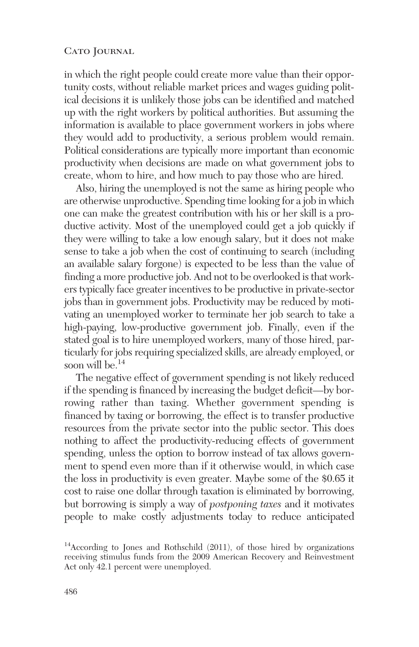in which the right people could create more value than their opportunity costs, without reliable market prices and wages guiding political decisions it is unlikely those jobs can be identified and matched up with the right workers by political authorities. But assuming the information is available to place government workers in jobs where they would add to productivity, a serious problem would remain. Political considerations are typically more important than economic productivity when decisions are made on what government jobs to create, whom to hire, and how much to pay those who are hired.

Also, hiring the unemployed is not the same as hiring people who are otherwise unproductive. Spending time looking for a job in which one can make the greatest contribution with his or her skill is a productive activity. Most of the unemployed could get a job quickly if they were willing to take a low enough salary, but it does not make sense to take a job when the cost of continuing to search (including an available salary forgone) is expected to be less than the value of finding a more productive job. And not to be overlooked is that workers typically face greater incentives to be productive in private-sector jobs than in government jobs. Productivity may be reduced by motivating an unemployed worker to terminate her job search to take a high-paying, low-productive government job. Finally, even if the stated goal is to hire unemployed workers, many of those hired, particularly for jobs requiring specialized skills, are already employed, or soon will be.<sup>14</sup>

The negative effect of government spending is not likely reduced if the spending is financed by increasing the budget deficit—by borrowing rather than taxing. Whether government spending is financed by taxing or borrowing, the effect is to transfer productive resources from the private sector into the public sector. This does nothing to affect the productivity-reducing effects of government spending, unless the option to borrow instead of tax allows government to spend even more than if it otherwise would, in which case the loss in productivity is even greater. Maybe some of the \$0.65 it cost to raise one dollar through taxation is eliminated by borrowing, but borrowing is simply a way of *postponing taxes* and it motivates people to make costly adjustments today to reduce anticipated

<sup>14</sup>According to Jones and Rothschild (2011), of those hired by organizations receiving stimulus funds from the 2009 American Recovery and Reinvestment Act only 42.1 percent were unemployed.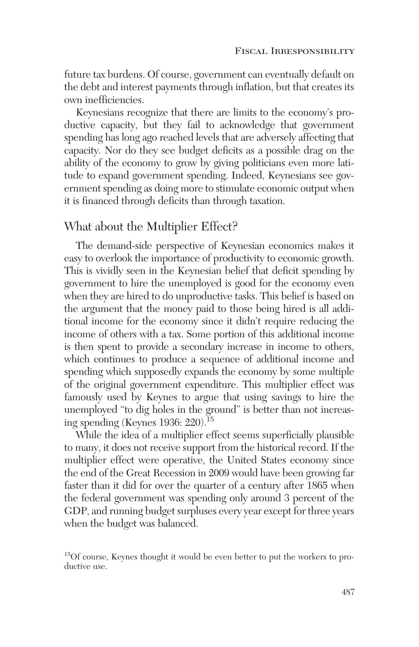future tax burdens. Of course, government can eventually default on the debt and interest payments through inflation, but that creates its own inefficiencies.

Keynesians recognize that there are limits to the economy's productive capacity, but they fail to acknowledge that government spending has long ago reached levels that are adversely affecting that capacity. Nor do they see budget deficits as a possible drag on the ability of the economy to grow by giving politicians even more latitude to expand government spending. Indeed, Keynesians see government spending as doing more to stimulate economic output when it is financed through deficits than through taxation.

# What about the Multiplier Effect?

The demand-side perspective of Keynesian economics makes it easy to overlook the importance of productivity to economic growth. This is vividly seen in the Keynesian belief that deficit spending by government to hire the unemployed is good for the economy even when they are hired to do unproductive tasks. This belief is based on the argument that the money paid to those being hired is all additional income for the economy since it didn't require reducing the income of others with a tax. Some portion of this additional income is then spent to provide a secondary increase in income to others, which continues to produce a sequence of additional income and spending which supposedly expands the economy by some multiple of the original government expenditure. This multiplier effect was famously used by Keynes to argue that using savings to hire the unemployed "to dig holes in the ground" is better than not increasing spending (Keynes 1936: 220).15

While the idea of a multiplier effect seems superficially plausible to many, it does not receive support from the historical record. If the multiplier effect were operative, the United States economy since the end of the Great Recession in 2009 would have been growing far faster than it did for over the quarter of a century after 1865 when the federal government was spending only around 3 percent of the GDP, and running budget surpluses every year except for three years when the budget was balanced.

<sup>&</sup>lt;sup>15</sup>Of course, Keynes thought it would be even better to put the workers to productive use.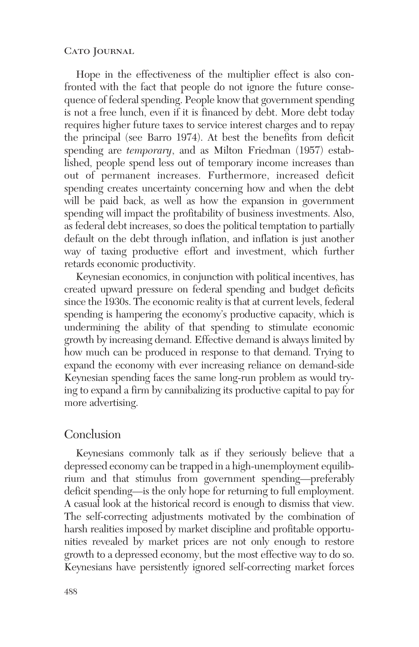Hope in the effectiveness of the multiplier effect is also confronted with the fact that people do not ignore the future consequence of federal spending. People know that government spending is not a free lunch, even if it is financed by debt. More debt today requires higher future taxes to service interest charges and to repay the principal (see Barro 1974). At best the benefits from deficit spending are *temporary*, and as Milton Friedman (1957) established, people spend less out of temporary income increases than out of permanent increases. Furthermore, increased deficit spending creates uncertainty concerning how and when the debt will be paid back, as well as how the expansion in government spending will impact the profitability of business investments. Also, as federal debt increases, so does the political temptation to partially default on the debt through inflation, and inflation is just another way of taxing productive effort and investment, which further retards economic productivity.

Keynesian economics, in conjunction with political incentives, has created upward pressure on federal spending and budget deficits since the 1930s. The economic reality is that at current levels, federal spending is hampering the economy's productive capacity, which is undermining the ability of that spending to stimulate economic growth by increasing demand. Effective demand is always limited by how much can be produced in response to that demand. Trying to expand the economy with ever increasing reliance on demand-side Keynesian spending faces the same long-run problem as would trying to expand a firm by cannibalizing its productive capital to pay for more advertising.

### **Conclusion**

Keynesians commonly talk as if they seriously believe that a depressed economy can be trapped in a high-unemployment equilibrium and that stimulus from government spending—preferably deficit spending—is the only hope for returning to full employment. A casual look at the historical record is enough to dismiss that view. The self-correcting adjustments motivated by the combination of harsh realities imposed by market discipline and profitable opportunities revealed by market prices are not only enough to restore growth to a depressed economy, but the most effective way to do so. Keynesians have persistently ignored self-correcting market forces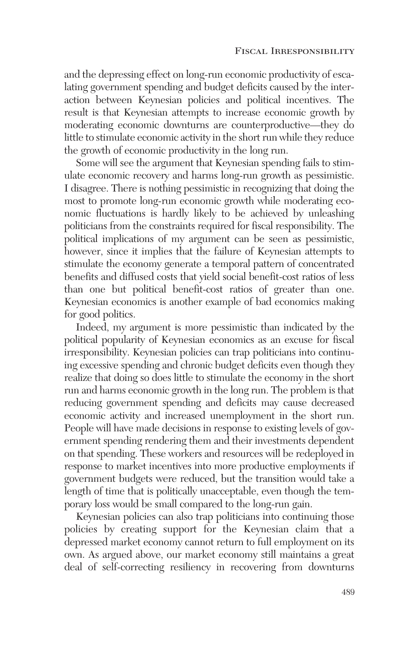and the depressing effect on long-run economic productivity of escalating government spending and budget deficits caused by the interaction between Keynesian policies and political incentives. The result is that Keynesian attempts to increase economic growth by moderating economic downturns are counterproductive—they do little to stimulate economic activity in the short run while they reduce the growth of economic productivity in the long run.

Some will see the argument that Keynesian spending fails to stimulate economic recovery and harms long-run growth as pessimistic. I disagree. There is nothing pessimistic in recognizing that doing the most to promote long-run economic growth while moderating economic fluctuations is hardly likely to be achieved by unleashing politicians from the constraints required for fiscal responsibility. The political implications of my argument can be seen as pessimistic, however, since it implies that the failure of Keynesian attempts to stimulate the economy generate a temporal pattern of concentrated benefits and diffused costs that yield social benefit-cost ratios of less than one but political benefit-cost ratios of greater than one. Keynesian economics is another example of bad economics making for good politics.

Indeed, my argument is more pessimistic than indicated by the political popularity of Keynesian economics as an excuse for fiscal irresponsibility. Keynesian policies can trap politicians into continuing excessive spending and chronic budget deficits even though they realize that doing so does little to stimulate the economy in the short run and harms economic growth in the long run. The problem is that reducing government spending and deficits may cause decreased economic activity and increased unemployment in the short run. People will have made decisions in response to existing levels of government spending rendering them and their investments dependent on that spending. These workers and resources will be redeployed in response to market incentives into more productive employments if government budgets were reduced, but the transition would take a length of time that is politically unacceptable, even though the temporary loss would be small compared to the long-run gain.

Keynesian policies can also trap politicians into continuing those policies by creating support for the Keynesian claim that a depressed market economy cannot return to full employment on its own. As argued above, our market economy still maintains a great deal of self-correcting resiliency in recovering from downturns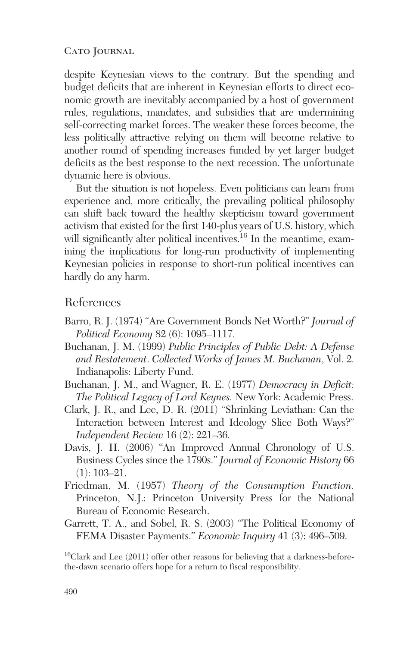despite Keynesian views to the contrary. But the spending and budget deficits that are inherent in Keynesian efforts to direct economic growth are inevitably accompanied by a host of government rules, regulations, mandates, and subsidies that are undermining self-correcting market forces. The weaker these forces become, the less politically attractive relying on them will become relative to another round of spending increases funded by yet larger budget deficits as the best response to the next recession. The unfortunate dynamic here is obvious.

But the situation is not hopeless. Even politicians can learn from experience and, more critically, the prevailing political philosophy can shift back toward the healthy skepticism toward government activism that existed for the first 140-plus years of U.S. history, which will significantly alter political incentives.<sup>16</sup> In the meantime, examining the implications for long-run productivity of implementing Keynesian policies in response to short-run political incentives can hardly do any harm.

### References

- Barro, R. J. (1974) "Are Government Bonds Net Worth?" *Journal of Political Economy* 82 (6): 1095–1117.
- Buchanan, J. M. (1999) *Public Principles of Public Debt: A Defense and Restatement*. *Collected Works of James M. Buchanan*, Vol. 2. Indianapolis: Liberty Fund.
- Buchanan, J. M., and Wagner, R. E. (1977) *Democracy in Deficit: The Political Legacy of Lord Keynes.* New York: Academic Press.
- Clark, J. R., and Lee, D. R. (2011) "Shrinking Leviathan: Can the Interaction between Interest and Ideology Slice Both Ways?" *Independent Review* 16 (2): 221–36.
- Davis, J. H. (2006) "An Improved Annual Chronology of U.S. Business Cycles since the 1790s." *Journal of Economic History* 66 (1): 103–21.
- Friedman, M. (1957) *Theory of the Consumption Function.* Princeton, N.J.: Princeton University Press for the National Bureau of Economic Research.
- Garrett, T. A., and Sobel, R. S. (2003) "The Political Economy of FEMA Disaster Payments." *Economic Inquiry* 41 (3): 496–509.

16Clark and Lee (2011) offer other reasons for believing that a darkness-beforethe-dawn scenario offers hope for a return to fiscal responsibility.